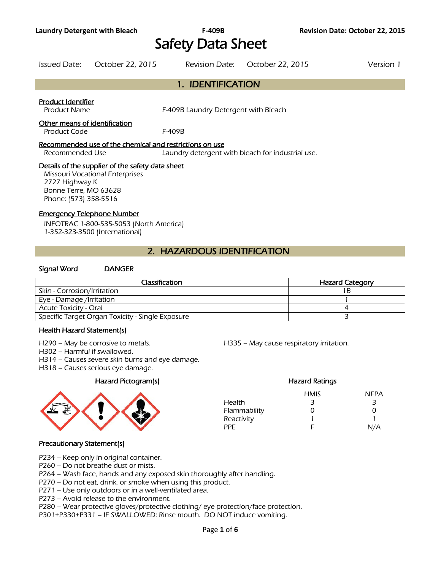# Safety Data Sheet

Issued Date: October 22, 2015 Revision Date: October 22, 2015 Version 1

# 1. IDENTIFICATION

### Product Identifier

Product Name F-409B Laundry Detergent with Bleach

#### Other means of identification

Product Code F-409B

#### Recommended use of the chemical and restrictions on use

Recommended Use Laundry detergent with bleach for industrial use.

### Details of the supplier of the safety data sheet

Missouri Vocational Enterprises 2727 Highway K Bonne Terre, MO 63628 Phone: (573) 358-5516

#### Emergency Telephone Number

INFOTRAC 1-800-535-5053 (North America) 1-352-323-3500 (International)

# 2. HAZARDOUS IDENTIFICATION

#### Signal Word DANGER

| <b>Classification</b>                            | <b>Hazard Category</b> |  |  |
|--------------------------------------------------|------------------------|--|--|
| Skin - Corrosion/Irritation                      |                        |  |  |
| Eye - Damage /Irritation                         |                        |  |  |
| Acute Toxicity - Oral                            |                        |  |  |
| Specific Target Organ Toxicity - Single Exposure |                        |  |  |
|                                                  |                        |  |  |

#### Health Hazard Statement(s)

H290 – May be corrosive to metals. H335 – May cause respiratory irritation.

H302 – Harmful if swallowed.

H314 – Causes severe skin burns and eye damage.

H318 – Causes serious eye damage.

# Hazard Pictogram(s) Hazard Ratings



# HMIS NFPA Health 3 3 3 Flammability 0 0 0 Reactivity 1 1 PPE F N/A

# Precautionary Statement(s)

- P234 Keep only in original container.
- P260 Do not breathe dust or mists.
- P264 Wash face, hands and any exposed skin thoroughly after handling.
- P270 Do not eat, drink, or smoke when using this product.
- P271 Use only outdoors or in a well-ventilated area.
- P273 Avoid release to the environment.
- P280 Wear protective gloves/protective clothing/ eye protection/face protection.
- P301+P330+P331 IF SWALLOWED: Rinse mouth. DO NOT induce vomiting.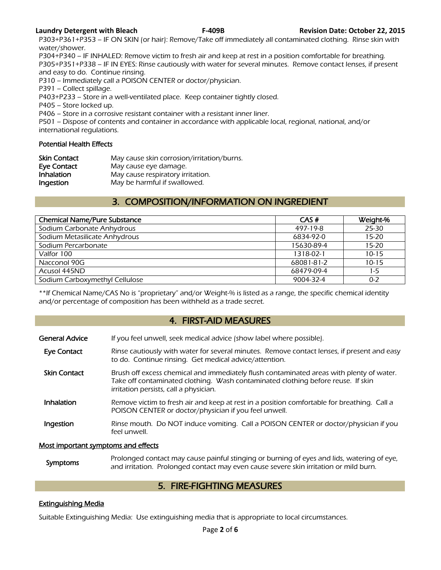P303+P361+P353 – IF ON SKIN (or hair): Remove/Take off immediately all contaminated clothing. Rinse skin with water/shower.

P304+P340 – IF INHALED: Remove victim to fresh air and keep at rest in a position comfortable for breathing. P305+P351+P338 – IF IN EYES: Rinse cautiously with water for several minutes. Remove contact lenses, if present and easy to do. Continue rinsing.

P310 – Immediately call a POISON CENTER or doctor/physician.

P391 – Collect spillage.

P403+P233 – Store in a well-ventilated place. Keep container tightly closed.

P405 – Store locked up.

P406 – Store in a corrosive resistant container with a resistant inner liner.

P501 – Dispose of contents and container in accordance with applicable local, regional, national, and/or international regulations.

# Potential Health Effects

| <b>Skin Contact</b> | May cause skin corrosion/irritation/burns. |
|---------------------|--------------------------------------------|
| Eye Contact         | May cause eye damage.                      |
| Inhalation          | May cause respiratory irritation.          |
| Ingestion           | May be harmful if swallowed.               |

# 3. COMPOSITION/INFORMATION ON INGREDIENT

| <b>Chemical Name/Pure Substance</b> | CAS#       | Weight-%  |
|-------------------------------------|------------|-----------|
| Sodium Carbonate Anhydrous          | 497-19-8   | 25-30     |
| Sodium Metasilicate Anhydrous       | 6834-92-0  | $15 - 20$ |
| Sodium Percarbonate                 | 15630-89-4 | $15 - 20$ |
| Valfor 100                          | 1318-02-1  | $10 - 15$ |
| Nacconol 90G                        | 68081-81-2 | $10 - 15$ |
| Acusol 445ND                        | 68479-09-4 | $1-5$     |
| Sodium Carboxymethyl Cellulose      | 9004-32-4  | $0 - 2$   |
|                                     |            |           |

\*\*If Chemical Name/CAS No is "proprietary" and/or Weight-% is listed as a range, the specific chemical identity and/or percentage of composition has been withheld as a trade secret.

# 4. FIRST-AID MEASURES

| <b>General Advice</b>               | If you feel unwell, seek medical advice (show label where possible).                                                                                                                                                   |
|-------------------------------------|------------------------------------------------------------------------------------------------------------------------------------------------------------------------------------------------------------------------|
| <b>Eye Contact</b>                  | Rinse cautiously with water for several minutes. Remove contact lenses, if present and easy<br>to do. Continue rinsing. Get medical advice/attention.                                                                  |
| <b>Skin Contact</b>                 | Brush off excess chemical and immediately flush contaminated areas with plenty of water.<br>Take off contaminated clothing. Wash contaminated clothing before reuse. If skin<br>irritation persists, call a physician. |
| <b>Inhalation</b>                   | Remove victim to fresh air and keep at rest in a position comfortable for breathing. Call a<br>POISON CENTER or doctor/physician if you feel unwell.                                                                   |
| Ingestion                           | Rinse mouth. Do NOT induce vomiting. Call a POISON CENTER or doctor/physician if you<br>feel unwell.                                                                                                                   |
| Most important symptoms and effects |                                                                                                                                                                                                                        |

### Symptoms Prolonged contact may cause painful stinging or burning of eyes and lids, watering of eye,<br>and irritation. Prolonged contact may over saves severe skip irritation or mild burn and irritation. Prolonged contact may even cause severe skin irritation or mild burn.

# 5. FIRE-FIGHTING MEASURES

# Extinguishing Media

Suitable Extinguishing Media: Use extinguishing media that is appropriate to local circumstances.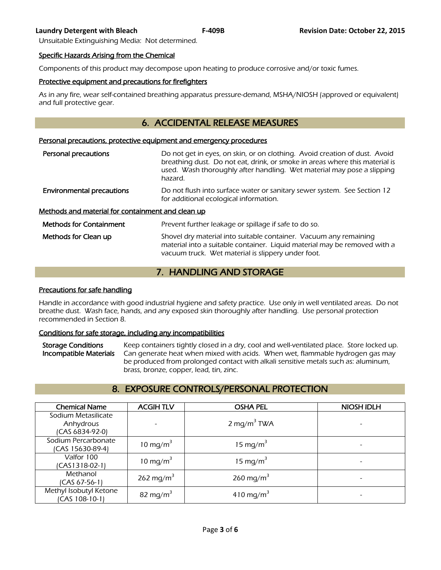Unsuitable Extinguishing Media: Not determined.

#### Specific Hazards Arising from the Chemical

Components of this product may decompose upon heating to produce corrosive and/or toxic fumes.

### Protective equipment and precautions for firefighters

As in any fire, wear self-contained breathing apparatus pressure-demand, MSHA/NIOSH (approved or equivalent) and full protective gear.

# 6. ACCIDENTAL RELEASE MEASURES

#### Personal precautions, protective equipment and emergency procedures

| Personal precautions                              | Do not get in eyes, on skin, or on clothing. Avoid creation of dust. Avoid<br>breathing dust. Do not eat, drink, or smoke in areas where this material is<br>used. Wash thoroughly after handling. Wet material may pose a slipping<br>hazard. |  |  |  |
|---------------------------------------------------|------------------------------------------------------------------------------------------------------------------------------------------------------------------------------------------------------------------------------------------------|--|--|--|
| <b>Environmental precautions</b>                  | Do not flush into surface water or sanitary sewer system. See Section 12<br>for additional ecological information.                                                                                                                             |  |  |  |
| Methods and material for containment and clean up |                                                                                                                                                                                                                                                |  |  |  |
| <b>Methods for Containment</b>                    | Prevent further leakage or spillage if safe to do so.                                                                                                                                                                                          |  |  |  |
| Methods for Clean up                              | Shovel dry material into suitable container. Vacuum any remaining<br>material into a suitable container. Liquid material may be removed with a                                                                                                 |  |  |  |

# 7. HANDLING AND STORAGE

vacuum truck. Wet material is slippery under foot.

#### Precautions for safe handling

Handle in accordance with good industrial hygiene and safety practice. Use only in well ventilated areas. Do not breathe dust. Wash face, hands, and any exposed skin thoroughly after handling. Use personal protection recommended in Section 8.

# Conditions for safe storage, including any incompatibilities

Storage Conditions Keep containers tightly closed in a dry, cool and well-ventilated place. Store locked up. Incompatible Materials Can generate heat when mixed with acids. When wet, flammable hydrogen gas may be produced from prolonged contact with alkali sensitive metals such as: aluminum, brass, bronze, copper, lead, tin, zinc.

# 8. EXPOSURE CONTROLS/PERSONAL PROTECTION

| <b>Chemical Name</b>   | <b>ACGIHTLV</b>          | <b>OSHA PEL</b>         | <b>NIOSH IDLH</b> |
|------------------------|--------------------------|-------------------------|-------------------|
| Sodium Metasilicate    |                          |                         |                   |
| Anhydrous              | $\overline{\phantom{a}}$ | 2 mg/m <sup>3</sup> TWA |                   |
| (CAS 6834-92-0)        |                          |                         |                   |
| Sodium Percarbonate    | 10 mg/m <sup>3</sup>     | 15 mg/m <sup>3</sup>    |                   |
| (CAS 15630-89-4)       |                          |                         |                   |
| Valfor 100             | 10 mg/m <sup>3</sup>     | 15 mg/m <sup>3</sup>    |                   |
| $(CAS1318-02-1)$       |                          |                         |                   |
| Methanol               | 262 mg/m <sup>3</sup>    | 260 mg/m <sup>3</sup>   |                   |
| (CAS 67-56-1)          |                          |                         |                   |
| Methyl Isobutyl Ketone | 82 mg/m <sup>3</sup>     | 410 mg/m <sup>3</sup>   |                   |
| (CAS 108-10-1)         |                          |                         |                   |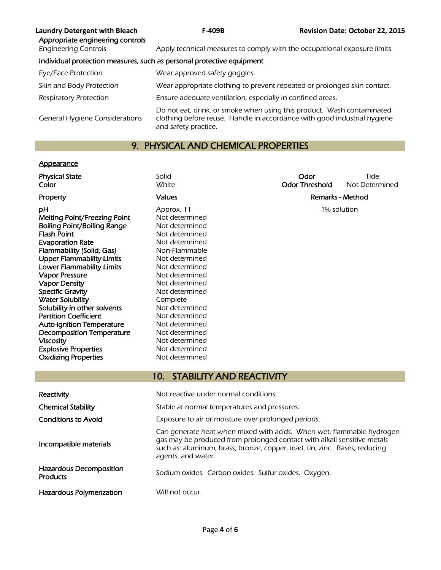| <b>Laundry Detergent with Bleach</b><br>Appropriate engineering controls | <b>F-409B</b>                                                                                                                                                              | <b>Revision Date: October 22, 2015</b> |  |
|--------------------------------------------------------------------------|----------------------------------------------------------------------------------------------------------------------------------------------------------------------------|----------------------------------------|--|
| <b>Engineering Controls</b>                                              | Apply technical measures to comply with the occupational exposure limits.                                                                                                  |                                        |  |
|                                                                          | Individual protection measures, such as personal protective equipment                                                                                                      |                                        |  |
| Eye/Face Protection                                                      | Wear approved safety goggles.                                                                                                                                              |                                        |  |
| Skin and Body Protection                                                 | Wear appropriate clothing to prevent repeated or prolonged skin contact.                                                                                                   |                                        |  |
| <b>Respiratory Protection</b>                                            | Ensure adequate ventilation, especially in confined areas.                                                                                                                 |                                        |  |
| <b>General Hygiene Considerations</b>                                    | Do not eat, drink, or smoke when using this product. Wash contaminated<br>clothing before reuse. Handle in accordance with good industrial hygiene<br>and safety practice. |                                        |  |

# 9. PHYSICAL AND CHEMICAL PROPERTIES

# **Appearance**

| <b>Physical State</b><br>Color                               | Solid<br>White                                                                                                                                                                                                                                       | Odor<br><b>Odor Threshold</b> | Tide<br>Not Determined |  |
|--------------------------------------------------------------|------------------------------------------------------------------------------------------------------------------------------------------------------------------------------------------------------------------------------------------------------|-------------------------------|------------------------|--|
|                                                              |                                                                                                                                                                                                                                                      |                               |                        |  |
| Property                                                     | <b>Values</b>                                                                                                                                                                                                                                        | <b>Remarks - Method</b>       |                        |  |
| рH                                                           | Approx. 11                                                                                                                                                                                                                                           |                               | 1% solution            |  |
| Melting Point/Freezing Point                                 | Not determined                                                                                                                                                                                                                                       |                               |                        |  |
| <b>Boiling Point/Boiling Range</b>                           | Not determined                                                                                                                                                                                                                                       |                               |                        |  |
| <b>Flash Point</b>                                           | Not determined                                                                                                                                                                                                                                       |                               |                        |  |
| <b>Evaporation Rate</b>                                      | Not determined                                                                                                                                                                                                                                       |                               |                        |  |
| Flammability (Solid, Gas)                                    | Non-Flammable                                                                                                                                                                                                                                        |                               |                        |  |
| <b>Upper Flammability Limits</b>                             | Not determined                                                                                                                                                                                                                                       |                               |                        |  |
| <b>Lower Flammability Limits</b>                             | Not determined                                                                                                                                                                                                                                       |                               |                        |  |
| <b>Vapor Pressure</b>                                        | Not determined                                                                                                                                                                                                                                       |                               |                        |  |
| <b>Vapor Density</b>                                         | Not determined                                                                                                                                                                                                                                       |                               |                        |  |
| <b>Specific Gravity</b>                                      | Not determined                                                                                                                                                                                                                                       |                               |                        |  |
| <b>Water Solubility</b>                                      | Complete                                                                                                                                                                                                                                             |                               |                        |  |
| Solubility in other solvents<br><b>Partition Coefficient</b> | Not determined<br>Not determined                                                                                                                                                                                                                     |                               |                        |  |
| <b>Auto-ignition Temperature</b>                             | Not determined                                                                                                                                                                                                                                       |                               |                        |  |
| <b>Decomposition Temperature</b>                             | Not determined                                                                                                                                                                                                                                       |                               |                        |  |
| <b>Viscosity</b>                                             | Not determined                                                                                                                                                                                                                                       |                               |                        |  |
| <b>Explosive Properties</b>                                  | Not determined                                                                                                                                                                                                                                       |                               |                        |  |
| <b>Oxidizing Properties</b>                                  | Not determined                                                                                                                                                                                                                                       |                               |                        |  |
|                                                              |                                                                                                                                                                                                                                                      |                               |                        |  |
|                                                              | <b>STABILITY AND REACTIVITY</b><br>10 <sub>1</sub>                                                                                                                                                                                                   |                               |                        |  |
|                                                              |                                                                                                                                                                                                                                                      |                               |                        |  |
| Reactivity                                                   | Not reactive under normal conditions.                                                                                                                                                                                                                |                               |                        |  |
| <b>Chemical Stability</b>                                    | Stable at normal temperatures and pressures.                                                                                                                                                                                                         |                               |                        |  |
| <b>Conditions to Avoid</b>                                   | Exposure to air or moisture over prolonged periods.                                                                                                                                                                                                  |                               |                        |  |
| Incompatible materials                                       | Can generate heat when mixed with acids. When wet, flammable hydrogen<br>gas may be produced from prolonged contact with alkali sensitive metals<br>such as: aluminum, brass, bronze, copper, lead, tin, zinc. Bases, reducing<br>agents, and water. |                               |                        |  |
| Hazardous Decomposition<br><b>Products</b>                   | Sodium oxides. Carbon oxides. Sulfur oxides. Oxygen.                                                                                                                                                                                                 |                               |                        |  |
| Hazardous Polymerization                                     | Will not occur.                                                                                                                                                                                                                                      |                               |                        |  |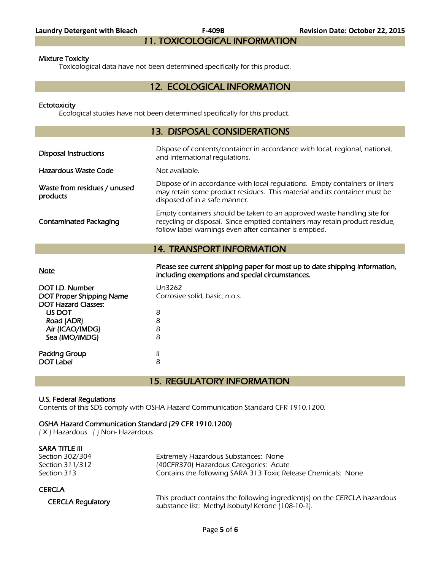# 11. TOXICOLOGICAL INFORMATION

#### Mixture Toxicity

Toxicological data have not been determined specifically for this product.

# 12. ECOLOGICAL INFORMATION

#### **Ectotoxicity**

Ecological studies have not been determined specifically for this product.

# 13. DISPOSAL CONSIDERATIONS

| <b>Disposal Instructions</b>             | Dispose of contents/container in accordance with local, regional, national,<br>and international regulations.                                                                                                    |
|------------------------------------------|------------------------------------------------------------------------------------------------------------------------------------------------------------------------------------------------------------------|
| Hazardous Waste Code                     | Not available.                                                                                                                                                                                                   |
| Waste from residues / unused<br>products | Dispose of in accordance with local regulations. Empty containers or liners<br>may retain some product residues. This material and its container must be<br>disposed of in a safe manner.                        |
| <b>Contaminated Packaging</b>            | Empty containers should be taken to an approved waste handling site for<br>recycling or disposal. Since emptied containers may retain product residue,<br>follow label warnings even after container is emptied. |
|                                          | <b>14. TRANSPORT INFORMATION</b>                                                                                                                                                                                 |
|                                          |                                                                                                                                                                                                                  |

Please see current shipping paper for most up to date shipping information,<br>Note including exemptions and special circumstances.

| DOT I.D. Number                 | Un3262                         |
|---------------------------------|--------------------------------|
| <b>DOT Proper Shipping Name</b> | Corrosive solid, basic, n.o.s. |
| <b>DOT Hazard Classes:</b>      |                                |
| US DOT                          | 8                              |
| Road (ADR)                      | 8                              |
| Air (ICAO/IMDG)                 | 8                              |
| Sea (IMO/IMDG)                  | 8                              |
|                                 |                                |
| Packing Group                   | Ш                              |
| <b>DOT Label</b>                | 8                              |
|                                 |                                |

15. REGULATORY INFORMATION

# U.S. Federal Regulations

Contents of this SDS comply with OSHA Hazard Communication Standard CFR 1910.1200.

# OSHA Hazard Communication Standard (29 CFR 1910.1200)

( X ) Hazardous ( ) Non- Hazardous

| SARA TITLE III           |                                                                           |
|--------------------------|---------------------------------------------------------------------------|
| Section 302/304          | Extremely Hazardous Substances: None                                      |
| Section 311/312          | (40CFR370) Hazardous Categories: Acute                                    |
| Section 313              | Contains the following SARA 313 Toxic Release Chemicals: None             |
| <b>CERCLA</b>            |                                                                           |
| <b>CERCLA Regulatory</b> | This product contains the following ingredient(s) on the CERCLA hazardous |
|                          | substance list: Methyl Isobutyl Ketone (108-10-1).                        |